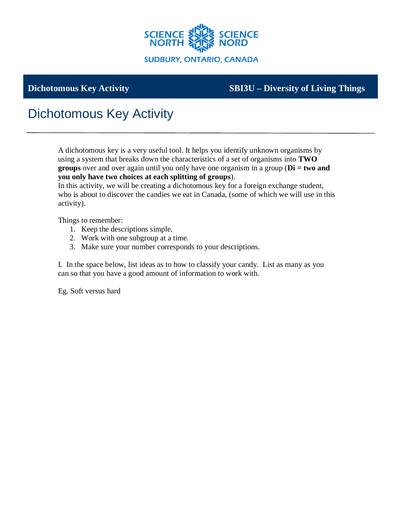

## **Dichotomous Key Activity SBI3U – Diversity of Living Things**

## Dichotomous Key Activity

A dichotomous key is a very useful tool. It helps you identify unknown organisms by using a system that breaks down the characteristics of a set of organisms into **TWO groups** over and over again until you only have one organism in a group (**Di = two and you only have two choices at each splitting of groups**).

In this activity, we will be creating a dichotomous key for a foreign exchange student, who is about to discover the candies we eat in Canada, (some of which we will use in this activity).

Things to remember:

- 1. Keep the descriptions simple.
- 2. Work with one subgroup at a time.
- 3. Make sure your number corresponds to your descriptions.

I. In the space below, list ideas as to how to classify your candy. List as many as you can so that you have a good amount of information to work with.

Eg. Soft versus hard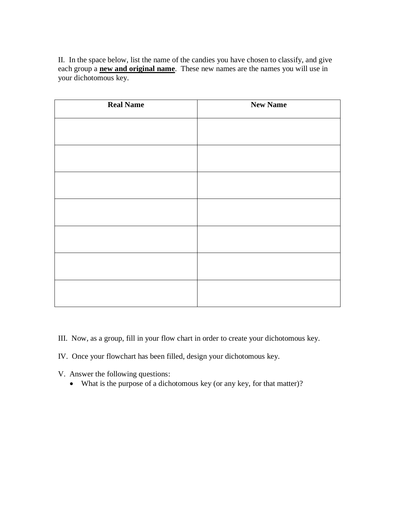II. In the space below, list the name of the candies you have chosen to classify, and give each group a **new and original name**. These new names are the names you will use in your dichotomous key.

| <b>Real Name</b> | <b>New Name</b> |
|------------------|-----------------|
|                  |                 |
|                  |                 |
|                  |                 |
|                  |                 |
|                  |                 |
|                  |                 |
|                  |                 |

- III. Now, as a group, fill in your flow chart in order to create your dichotomous key.
- IV. Once your flowchart has been filled, design your dichotomous key.
- V. Answer the following questions:
	- What is the purpose of a dichotomous key (or any key, for that matter)?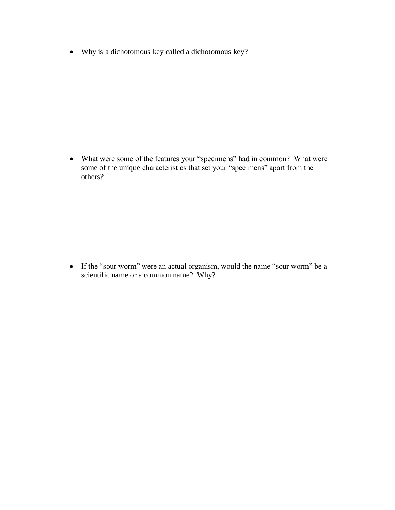• Why is a dichotomous key called a dichotomous key?

• What were some of the features your "specimens" had in common? What were some of the unique characteristics that set your "specimens" apart from the others?

• If the "sour worm" were an actual organism, would the name "sour worm" be a scientific name or a common name? Why?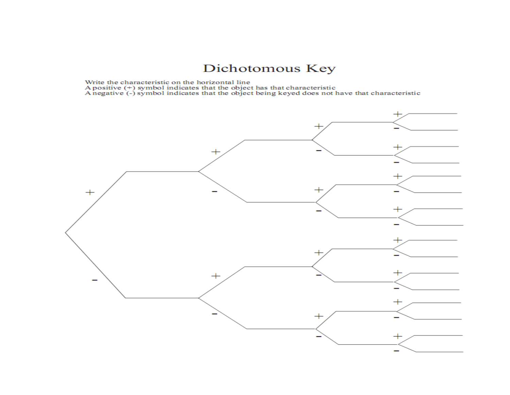## Dichotomous Key

Write the characteristic on the horizontal line<br>A positive (+) symbol indicates that the object has that characteristic<br>A negative (-) symbol indicates that the object being keyed does not have that characteristic

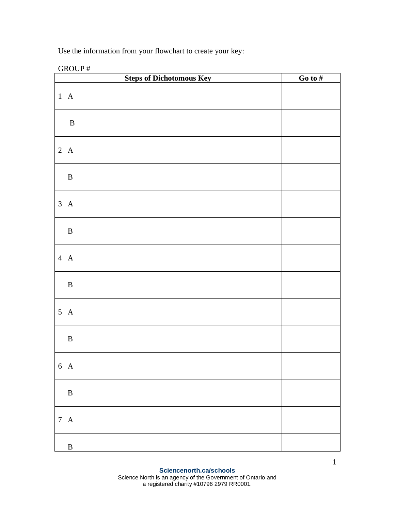Use the information from your flowchart to create your key:

GROUP #

|                 | <b>Steps of Dichotomous Key</b> | Go to $#$ |
|-----------------|---------------------------------|-----------|
| $1 \text{ A}$   |                                 |           |
| $\, {\bf B}$    |                                 |           |
| $2\ \mathbf{A}$ |                                 |           |
| $\, {\bf B}$    |                                 |           |
| $3\ \mathbf{A}$ |                                 |           |
| $\, {\bf B}$    |                                 |           |
| $4\ \mathbf{A}$ |                                 |           |
| $\, {\bf B}$    |                                 |           |
| $5\;A$          |                                 |           |
| $\, {\bf B}$    |                                 |           |
| 6 A             |                                 |           |
| $\, {\bf B}$    |                                 |           |
| $7\ \mathbf{A}$ |                                 |           |
| $\, {\bf B}$    |                                 |           |